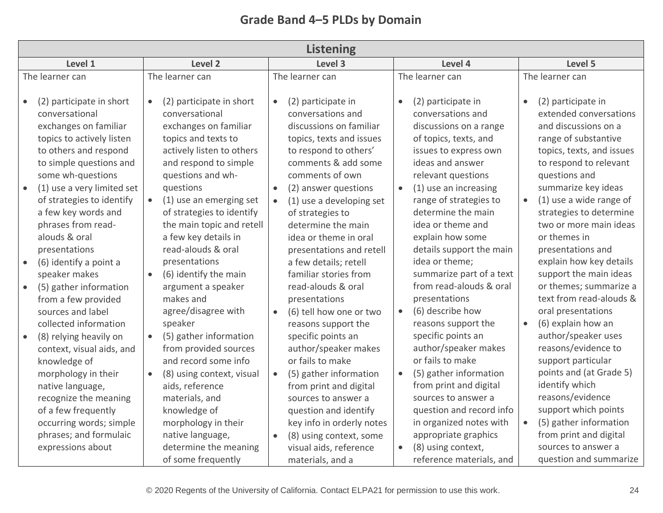| <b>Grade Band 4-5 PLDs by Domain</b> |  |  |  |  |
|--------------------------------------|--|--|--|--|
|--------------------------------------|--|--|--|--|

| <b>Listening</b>                                                                                                                                                                                                                                                                                                                                                                                                                                                                                                                                                         |                                                                                                                                                                                                                                                                                                                                                                                                                                                                                                                                              |                                                                                                                                                                                                                                                                                                                                                                                                                                                                                                                                                                                                                              |                                                                                                                                                                                                                                                                                                                                                                                                                                                                                                                                                                                     |                                                                                                                                                                                                                                                                                                                                                                                                                                                                                                                                                                                                              |  |  |
|--------------------------------------------------------------------------------------------------------------------------------------------------------------------------------------------------------------------------------------------------------------------------------------------------------------------------------------------------------------------------------------------------------------------------------------------------------------------------------------------------------------------------------------------------------------------------|----------------------------------------------------------------------------------------------------------------------------------------------------------------------------------------------------------------------------------------------------------------------------------------------------------------------------------------------------------------------------------------------------------------------------------------------------------------------------------------------------------------------------------------------|------------------------------------------------------------------------------------------------------------------------------------------------------------------------------------------------------------------------------------------------------------------------------------------------------------------------------------------------------------------------------------------------------------------------------------------------------------------------------------------------------------------------------------------------------------------------------------------------------------------------------|-------------------------------------------------------------------------------------------------------------------------------------------------------------------------------------------------------------------------------------------------------------------------------------------------------------------------------------------------------------------------------------------------------------------------------------------------------------------------------------------------------------------------------------------------------------------------------------|--------------------------------------------------------------------------------------------------------------------------------------------------------------------------------------------------------------------------------------------------------------------------------------------------------------------------------------------------------------------------------------------------------------------------------------------------------------------------------------------------------------------------------------------------------------------------------------------------------------|--|--|
| Level 1                                                                                                                                                                                                                                                                                                                                                                                                                                                                                                                                                                  | Level 2                                                                                                                                                                                                                                                                                                                                                                                                                                                                                                                                      | Level 4                                                                                                                                                                                                                                                                                                                                                                                                                                                                                                                                                                                                                      | Level 5                                                                                                                                                                                                                                                                                                                                                                                                                                                                                                                                                                             |                                                                                                                                                                                                                                                                                                                                                                                                                                                                                                                                                                                                              |  |  |
| The learner can                                                                                                                                                                                                                                                                                                                                                                                                                                                                                                                                                          | The learner can                                                                                                                                                                                                                                                                                                                                                                                                                                                                                                                              | The learner can                                                                                                                                                                                                                                                                                                                                                                                                                                                                                                                                                                                                              | The learner can                                                                                                                                                                                                                                                                                                                                                                                                                                                                                                                                                                     | The learner can                                                                                                                                                                                                                                                                                                                                                                                                                                                                                                                                                                                              |  |  |
| (2) participate in short<br>conversational<br>exchanges on familiar<br>topics to actively listen<br>to others and respond<br>to simple questions and<br>some wh-questions<br>(1) use a very limited set<br>of strategies to identify<br>a few key words and<br>phrases from read-<br>alouds & oral<br>presentations<br>(6) identify a point a<br>speaker makes<br>(5) gather information<br>$\bullet$<br>from a few provided<br>sources and label<br>collected information<br>(8) relying heavily on<br>context, visual aids, and<br>knowledge of<br>morphology in their | (2) participate in short<br>conversational<br>exchanges on familiar<br>topics and texts to<br>actively listen to others<br>and respond to simple<br>questions and wh-<br>questions<br>(1) use an emerging set<br>of strategies to identify<br>the main topic and retell<br>a few key details in<br>read-alouds & oral<br>presentations<br>(6) identify the main<br>argument a speaker<br>makes and<br>agree/disagree with<br>speaker<br>(5) gather information<br>from provided sources<br>and record some info<br>(8) using context, visual | (2) participate in<br>$\bullet$<br>conversations and<br>discussions on familiar<br>topics, texts and issues<br>to respond to others'<br>comments & add some<br>comments of own<br>(2) answer questions<br>$\bullet$<br>(1) use a developing set<br>$\bullet$<br>of strategies to<br>determine the main<br>idea or theme in oral<br>presentations and retell<br>a few details; retell<br>familiar stories from<br>read-alouds & oral<br>presentations<br>(6) tell how one or two<br>$\bullet$<br>reasons support the<br>specific points an<br>author/speaker makes<br>or fails to make<br>(5) gather information<br>$\bullet$ | (2) participate in<br>$\bullet$<br>conversations and<br>discussions on a range<br>of topics, texts, and<br>issues to express own<br>ideas and answer<br>relevant questions<br>(1) use an increasing<br>range of strategies to<br>determine the main<br>idea or theme and<br>explain how some<br>details support the main<br>idea or theme;<br>summarize part of a text<br>from read-alouds & oral<br>presentations<br>(6) describe how<br>$\bullet$<br>reasons support the<br>specific points an<br>author/speaker makes<br>or fails to make<br>(5) gather information<br>$\bullet$ | (2) participate in<br>$\bullet$<br>extended conversations<br>and discussions on a<br>range of substantive<br>topics, texts, and issues<br>to respond to relevant<br>questions and<br>summarize key ideas<br>(1) use a wide range of<br>$\bullet$<br>strategies to determine<br>two or more main ideas<br>or themes in<br>presentations and<br>explain how key details<br>support the main ideas<br>or themes; summarize a<br>text from read-alouds &<br>oral presentations<br>(6) explain how an<br>$\bullet$<br>author/speaker uses<br>reasons/evidence to<br>support particular<br>points and (at Grade 5) |  |  |
| native language,<br>recognize the meaning<br>of a few frequently<br>occurring words; simple<br>phrases; and formulaic                                                                                                                                                                                                                                                                                                                                                                                                                                                    | aids, reference<br>materials, and<br>knowledge of<br>morphology in their<br>native language,                                                                                                                                                                                                                                                                                                                                                                                                                                                 | from print and digital<br>sources to answer a<br>question and identify<br>key info in orderly notes<br>(8) using context, some<br>$\bullet$                                                                                                                                                                                                                                                                                                                                                                                                                                                                                  | from print and digital<br>sources to answer a<br>question and record info<br>in organized notes with<br>appropriate graphics                                                                                                                                                                                                                                                                                                                                                                                                                                                        | identify which<br>reasons/evidence<br>support which points<br>(5) gather information<br>$\bullet$<br>from print and digital                                                                                                                                                                                                                                                                                                                                                                                                                                                                                  |  |  |
| expressions about                                                                                                                                                                                                                                                                                                                                                                                                                                                                                                                                                        | determine the meaning<br>of some frequently                                                                                                                                                                                                                                                                                                                                                                                                                                                                                                  | visual aids, reference<br>materials, and a                                                                                                                                                                                                                                                                                                                                                                                                                                                                                                                                                                                   | (8) using context,<br>$\bullet$<br>reference materials, and                                                                                                                                                                                                                                                                                                                                                                                                                                                                                                                         | sources to answer a<br>question and summarize                                                                                                                                                                                                                                                                                                                                                                                                                                                                                                                                                                |  |  |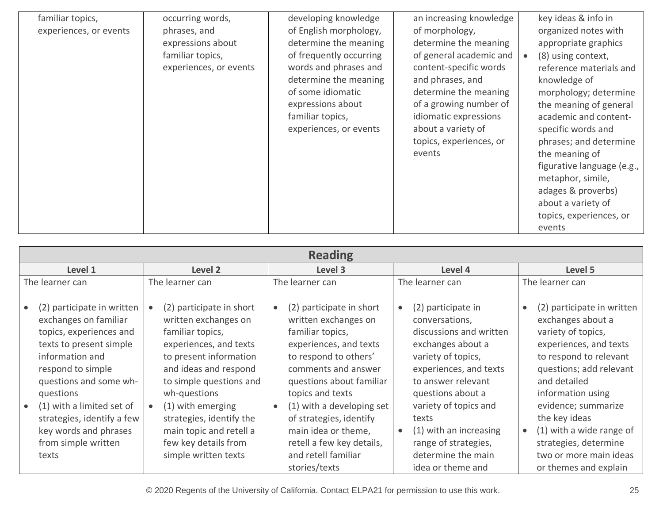| familiar topics,       | occurring words,       | developing knowledge    | an increasing knowledge | key ideas & info in             |
|------------------------|------------------------|-------------------------|-------------------------|---------------------------------|
| experiences, or events | phrases, and           | of English morphology,  | of morphology,          | organized notes with            |
|                        | expressions about      | determine the meaning   | determine the meaning   | appropriate graphics            |
|                        | familiar topics,       | of frequently occurring | of general academic and | (8) using context,<br>$\bullet$ |
|                        | experiences, or events | words and phrases and   | content-specific words  | reference materials and         |
|                        |                        | determine the meaning   | and phrases, and        | knowledge of                    |
|                        |                        | of some idiomatic       | determine the meaning   | morphology; determine           |
|                        |                        | expressions about       | of a growing number of  | the meaning of general          |
|                        |                        | familiar topics,        | idiomatic expressions   | academic and content-           |
|                        |                        | experiences, or events  | about a variety of      | specific words and              |
|                        |                        |                         | topics, experiences, or | phrases; and determine          |
|                        |                        |                         | events                  | the meaning of                  |
|                        |                        |                         |                         | figurative language (e.g.,      |
|                        |                        |                         |                         | metaphor, simile,               |
|                        |                        |                         |                         | adages & proverbs)              |
|                        |                        |                         |                         | about a variety of              |
|                        |                        |                         |                         | topics, experiences, or         |
|                        |                        |                         |                         | events                          |
|                        |                        |                         |                         |                                 |

| <b>Reading</b>                                                                                                                                                                                                                                                                                                            |                                                                                                                                                                                                                                                                                                                          |                                                                                                                                                                                                                                                                                                                                                    |                                                                                                                                                                                                                                                                                                                                          |                                                                                                                                                                                                                                                                                                                                                                     |  |  |
|---------------------------------------------------------------------------------------------------------------------------------------------------------------------------------------------------------------------------------------------------------------------------------------------------------------------------|--------------------------------------------------------------------------------------------------------------------------------------------------------------------------------------------------------------------------------------------------------------------------------------------------------------------------|----------------------------------------------------------------------------------------------------------------------------------------------------------------------------------------------------------------------------------------------------------------------------------------------------------------------------------------------------|------------------------------------------------------------------------------------------------------------------------------------------------------------------------------------------------------------------------------------------------------------------------------------------------------------------------------------------|---------------------------------------------------------------------------------------------------------------------------------------------------------------------------------------------------------------------------------------------------------------------------------------------------------------------------------------------------------------------|--|--|
| Level 1                                                                                                                                                                                                                                                                                                                   | Level <sub>2</sub>                                                                                                                                                                                                                                                                                                       | Level 3                                                                                                                                                                                                                                                                                                                                            | Level 4                                                                                                                                                                                                                                                                                                                                  | Level 5                                                                                                                                                                                                                                                                                                                                                             |  |  |
| The learner can                                                                                                                                                                                                                                                                                                           | The learner can                                                                                                                                                                                                                                                                                                          | The learner can                                                                                                                                                                                                                                                                                                                                    | The learner can                                                                                                                                                                                                                                                                                                                          | The learner can                                                                                                                                                                                                                                                                                                                                                     |  |  |
| (2) participate in written<br>exchanges on familiar<br>topics, experiences and<br>texts to present simple<br>information and<br>respond to simple<br>questions and some wh-<br>questions<br>(1) with a limited set of<br>$\bullet$<br>strategies, identify a few<br>key words and phrases<br>from simple written<br>texts | (2) participate in short<br>written exchanges on<br>familiar topics,<br>experiences, and texts<br>to present information<br>and ideas and respond<br>to simple questions and<br>wh-questions<br>(1) with emerging<br>strategies, identify the<br>main topic and retell a<br>few key details from<br>simple written texts | (2) participate in short<br>written exchanges on<br>familiar topics,<br>experiences, and texts<br>to respond to others'<br>comments and answer<br>questions about familiar<br>topics and texts<br>(1) with a developing set<br>of strategies, identify<br>main idea or theme,<br>retell a few key details,<br>and retell familiar<br>stories/texts | (2) participate in<br>$\bullet$<br>conversations,<br>discussions and written<br>exchanges about a<br>variety of topics,<br>experiences, and texts<br>to answer relevant<br>questions about a<br>variety of topics and<br>texts<br>(1) with an increasing<br>$\bullet$<br>range of strategies,<br>determine the main<br>idea or theme and | (2) participate in written<br>$\bullet$<br>exchanges about a<br>variety of topics,<br>experiences, and texts<br>to respond to relevant<br>questions; add relevant<br>and detailed<br>information using<br>evidence; summarize<br>the key ideas<br>(1) with a wide range of<br>$\bullet$<br>strategies, determine<br>two or more main ideas<br>or themes and explain |  |  |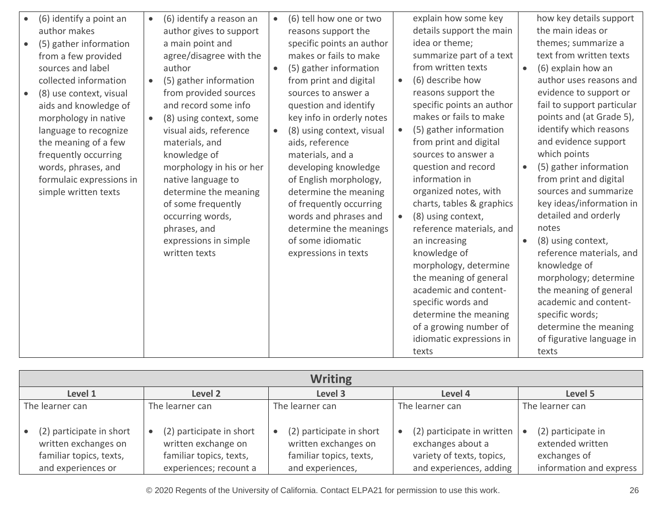| (6) identify a point an<br>author makes<br>(5) gather information<br>from a few provided<br>sources and label<br>collected information<br>(8) use context, visual<br>aids and knowledge of | (6) identify a reason an<br>$\bullet$<br>author gives to support<br>a main point and<br>agree/disagree with the<br>author<br>(5) gather information<br>from provided sources<br>and record some info                                                               | $\bullet$<br>$\bullet$ | (6) tell how one or two<br>reasons support the<br>specific points an author<br>makes or fails to make<br>(5) gather information<br>from print and digital<br>sources to answer a<br>question and identify                                                                                           | $\bullet$              | explain how some key<br>details support the main<br>idea or theme;<br>summarize part of a text<br>from written texts<br>(6) describe how<br>reasons support the<br>specific points an author                                                                                                                                                                                                                                                                                  | $\bullet$              | how key details support<br>the main ideas or<br>themes; summarize a<br>text from written texts<br>(6) explain how an<br>author uses reasons and<br>evidence to support or<br>fail to support particular                                                                                                                                                                                                                                                              |
|--------------------------------------------------------------------------------------------------------------------------------------------------------------------------------------------|--------------------------------------------------------------------------------------------------------------------------------------------------------------------------------------------------------------------------------------------------------------------|------------------------|-----------------------------------------------------------------------------------------------------------------------------------------------------------------------------------------------------------------------------------------------------------------------------------------------------|------------------------|-------------------------------------------------------------------------------------------------------------------------------------------------------------------------------------------------------------------------------------------------------------------------------------------------------------------------------------------------------------------------------------------------------------------------------------------------------------------------------|------------------------|----------------------------------------------------------------------------------------------------------------------------------------------------------------------------------------------------------------------------------------------------------------------------------------------------------------------------------------------------------------------------------------------------------------------------------------------------------------------|
| morphology in native<br>language to recognize<br>the meaning of a few<br>frequently occurring<br>words, phrases, and<br>formulaic expressions in<br>simple written texts                   | (8) using context, some<br>visual aids, reference<br>materials, and<br>knowledge of<br>morphology in his or her<br>native language to<br>determine the meaning<br>of some frequently<br>occurring words,<br>phrases, and<br>expressions in simple<br>written texts | $\bullet$              | key info in orderly notes<br>(8) using context, visual<br>aids, reference<br>materials, and a<br>developing knowledge<br>of English morphology,<br>determine the meaning<br>of frequently occurring<br>words and phrases and<br>determine the meanings<br>of some idiomatic<br>expressions in texts | $\bullet$<br>$\bullet$ | makes or fails to make<br>(5) gather information<br>from print and digital<br>sources to answer a<br>question and record<br>information in<br>organized notes, with<br>charts, tables & graphics<br>(8) using context,<br>reference materials, and<br>an increasing<br>knowledge of<br>morphology, determine<br>the meaning of general<br>academic and content-<br>specific words and<br>determine the meaning<br>of a growing number of<br>idiomatic expressions in<br>texts | $\bullet$<br>$\bullet$ | points and (at Grade 5),<br>identify which reasons<br>and evidence support<br>which points<br>(5) gather information<br>from print and digital<br>sources and summarize<br>key ideas/information in<br>detailed and orderly<br>notes<br>(8) using context,<br>reference materials, and<br>knowledge of<br>morphology; determine<br>the meaning of general<br>academic and content-<br>specific words;<br>determine the meaning<br>of figurative language in<br>texts |

| <b>Writing</b>                                                                                    |                                                                                                      |                                                                                                 |                                                                                                         |                                                                                   |  |  |
|---------------------------------------------------------------------------------------------------|------------------------------------------------------------------------------------------------------|-------------------------------------------------------------------------------------------------|---------------------------------------------------------------------------------------------------------|-----------------------------------------------------------------------------------|--|--|
| Level 1                                                                                           | Level 2                                                                                              | Level 3                                                                                         | Level 4                                                                                                 | Level 5                                                                           |  |  |
| The learner can                                                                                   | The learner can                                                                                      | The learner can                                                                                 | The learner can                                                                                         | The learner can                                                                   |  |  |
| (2) participate in short<br>written exchanges on<br>familiar topics, texts,<br>and experiences or | (2) participate in short<br>written exchange on<br>familiar topics, texts,<br>experiences; recount a | (2) participate in short<br>written exchanges on<br>familiar topics, texts,<br>and experiences, | (2) participate in written<br>exchanges about a<br>variety of texts, topics,<br>and experiences, adding | (2) participate in<br>extended written<br>exchanges of<br>information and express |  |  |

© 2020 Regents of the University of California. Contact ELPA21 for permission to use this work. 26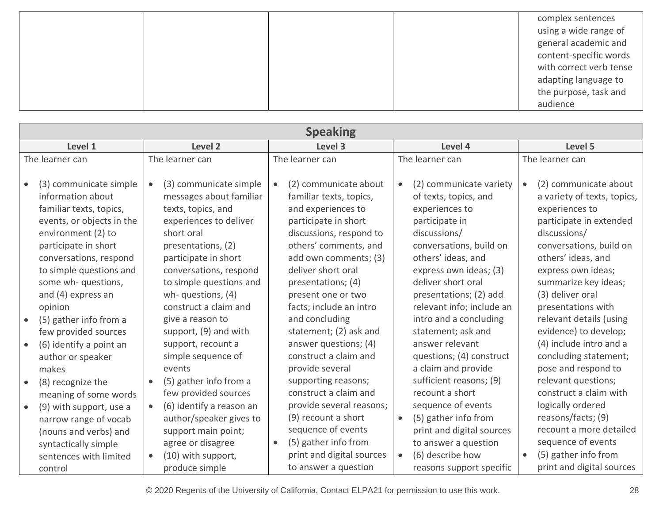|  |  | complex sentences<br>using a wide range of     |
|--|--|------------------------------------------------|
|  |  | general academic and<br>content-specific words |
|  |  | with correct verb tense                        |
|  |  | adapting language to                           |
|  |  | the purpose, task and                          |
|  |  | audience                                       |

| <b>Speaking</b>                                                                                                                                                                                                                            |                                                                                                                                                                                                                    |                                                                                                                                                                                                                         |                                                                                                                                                                                                                    |                                                                                                                                                                                                                  |  |  |
|--------------------------------------------------------------------------------------------------------------------------------------------------------------------------------------------------------------------------------------------|--------------------------------------------------------------------------------------------------------------------------------------------------------------------------------------------------------------------|-------------------------------------------------------------------------------------------------------------------------------------------------------------------------------------------------------------------------|--------------------------------------------------------------------------------------------------------------------------------------------------------------------------------------------------------------------|------------------------------------------------------------------------------------------------------------------------------------------------------------------------------------------------------------------|--|--|
| Level 1                                                                                                                                                                                                                                    | Level 2                                                                                                                                                                                                            | Level 3                                                                                                                                                                                                                 | Level 4                                                                                                                                                                                                            | Level 5                                                                                                                                                                                                          |  |  |
| The learner can                                                                                                                                                                                                                            | The learner can                                                                                                                                                                                                    | The learner can                                                                                                                                                                                                         | The learner can                                                                                                                                                                                                    | The learner can                                                                                                                                                                                                  |  |  |
| (3) communicate simple<br>$\bullet$<br>information about<br>familiar texts, topics,<br>events, or objects in the<br>environment (2) to<br>participate in short<br>conversations, respond<br>to simple questions and<br>some wh- questions, | (3) communicate simple<br>messages about familiar<br>texts, topics, and<br>experiences to deliver<br>short oral<br>presentations, (2)<br>participate in short<br>conversations, respond<br>to simple questions and | (2) communicate about<br>familiar texts, topics,<br>and experiences to<br>participate in short<br>discussions, respond to<br>others' comments, and<br>add own comments; (3)<br>deliver short oral<br>presentations; (4) | (2) communicate variety<br>$\bullet$<br>of texts, topics, and<br>experiences to<br>participate in<br>discussions/<br>conversations, build on<br>others' ideas, and<br>express own ideas; (3)<br>deliver short oral | (2) communicate about<br>a variety of texts, topics,<br>experiences to<br>participate in extended<br>discussions/<br>conversations, build on<br>others' ideas, and<br>express own ideas;<br>summarize key ideas; |  |  |
| and (4) express an<br>opinion<br>(5) gather info from a<br>$\bullet$<br>few provided sources                                                                                                                                               | wh-questions, (4)<br>construct a claim and<br>give a reason to<br>support, (9) and with                                                                                                                            | present one or two<br>facts; include an intro<br>and concluding<br>statement; (2) ask and                                                                                                                               | presentations; (2) add<br>relevant info; include an<br>intro and a concluding<br>statement; ask and                                                                                                                | (3) deliver oral<br>presentations with<br>relevant details (using<br>evidence) to develop;                                                                                                                       |  |  |
| (6) identify a point an<br>$\bullet$<br>author or speaker<br>makes                                                                                                                                                                         | support, recount a<br>simple sequence of<br>events                                                                                                                                                                 | answer questions; (4)<br>construct a claim and<br>provide several                                                                                                                                                       | answer relevant<br>questions; (4) construct<br>a claim and provide                                                                                                                                                 | (4) include intro and a<br>concluding statement;<br>pose and respond to                                                                                                                                          |  |  |
| (8) recognize the<br>$\bullet$<br>meaning of some words                                                                                                                                                                                    | (5) gather info from a<br>few provided sources                                                                                                                                                                     | supporting reasons;<br>construct a claim and<br>provide several reasons;                                                                                                                                                | sufficient reasons; (9)<br>recount a short<br>sequence of events                                                                                                                                                   | relevant questions;<br>construct a claim with<br>logically ordered                                                                                                                                               |  |  |
| (9) with support, use a<br>$\bullet$<br>narrow range of vocab<br>(nouns and verbs) and<br>syntactically simple<br>sentences with limited<br>control                                                                                        | (6) identify a reason an<br>$\bullet$<br>author/speaker gives to<br>support main point;<br>agree or disagree<br>(10) with support,<br>$\bullet$<br>produce simple                                                  | (9) recount a short<br>sequence of events<br>(5) gather info from<br>$\bullet$<br>print and digital sources<br>to answer a question                                                                                     | (5) gather info from<br>$\bullet$<br>print and digital sources<br>to answer a question<br>(6) describe how<br>$\bullet$<br>reasons support specific                                                                | reasons/facts; (9)<br>recount a more detailed<br>sequence of events<br>(5) gather info from<br>$\bullet$<br>print and digital sources                                                                            |  |  |

© 2020 Regents of the University of California. Contact ELPA21 for permission to use this work. 28